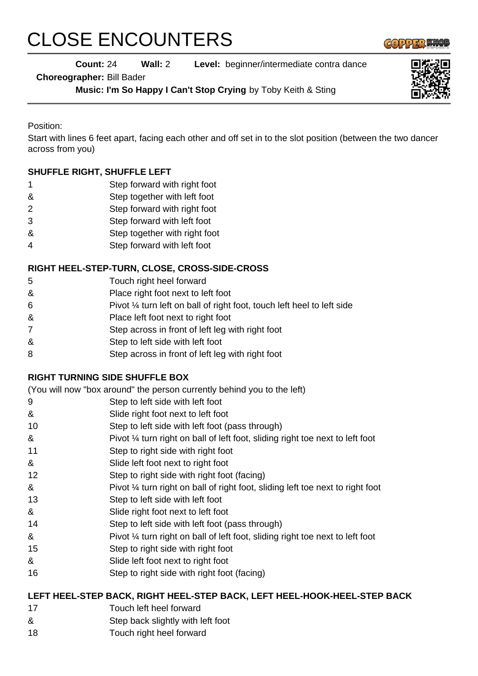# CLOSE ENCOUNTERS

 $GOPPI3M$ 

# **Count:** 24 **Wall:** 2 **Level:** beginner/intermediate contra dance

**Choreographer:** Bill Bader

**Music: I'm So Happy I Can't Stop Crying** by Toby Keith & Sting

Position:

Start with lines 6 feet apart, facing each other and off set in to the slot position (between the two dancer across from you)

### **SHUFFLE RIGHT, SHUFFLE LEFT**

- 1 Step forward with right foot
- & Step together with left foot
- 2 Step forward with right foot
- 3 Step forward with left foot
- & Step together with right foot
- 4 Step forward with left foot

#### **RIGHT HEEL-STEP-TURN, CLOSE, CROSS-SIDE-CROSS**

- 5 Touch right heel forward
- & Place right foot next to left foot
- 6 Pivot ¼ turn left on ball of right foot, touch left heel to left side
- & Place left foot next to right foot
- 7 Step across in front of left leg with right foot
- & Step to left side with left foot
- 8 Step across in front of left leg with right foot

#### **RIGHT TURNING SIDE SHUFFLE BOX**

(You will now "box around" the person currently behind you to the left)

- 9 Step to left side with left foot
- & Slide right foot next to left foot
- 10 Step to left side with left foot (pass through)
- & Pivot ¼ turn right on ball of left foot, sliding right toe next to left foot
- 11 Step to right side with right foot
- & Slide left foot next to right foot
- 12 Step to right side with right foot (facing)
- & Pivot ¼ turn right on ball of right foot, sliding left toe next to right foot
- 13 Step to left side with left foot
- & Slide right foot next to left foot
- 14 Step to left side with left foot (pass through)
- & Pivot ¼ turn right on ball of left foot, sliding right toe next to left foot
- 15 Step to right side with right foot
- & Slide left foot next to right foot
- 16 Step to right side with right foot (facing)

#### **LEFT HEEL-STEP BACK, RIGHT HEEL-STEP BACK, LEFT HEEL-HOOK-HEEL-STEP BACK**

- 17 Touch left heel forward
- & Step back slightly with left foot
- 18 Touch right heel forward